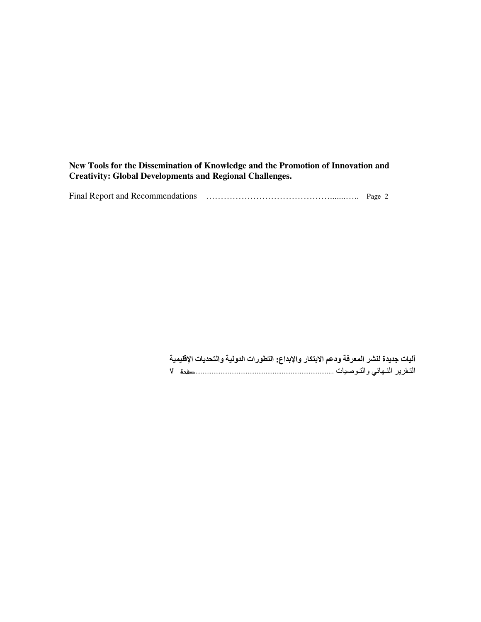**New Tools for the Dissemination of Knowledge and the Promotion of Innovation and Creativity: Global Developments and Regional Challenges.**

| Final Report and Recommendations | Page 2 |  |  |
|----------------------------------|--------|--|--|
|----------------------------------|--------|--|--|

آليات جديدة لنشر المعرفة ودعم الابتكار والإبداع: التطورات الدولية والتحديات الإقليمية ------------------------------------------------------------------------------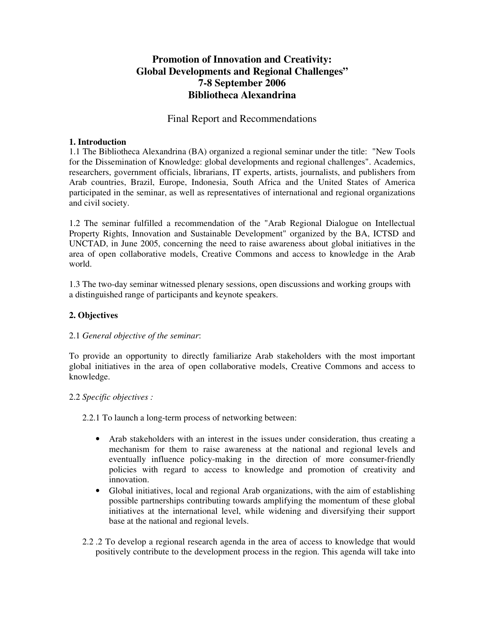# **Promotion of Innovation and Creativity: Global Developments and Regional Challenges" 7-8 September 2006 Bibliotheca Alexandrina**

## Final Report and Recommendations

#### **1. Introduction**

1.1 The Bibliotheca Alexandrina (BA) organized a regional seminar under the title: "New Tools for the Dissemination of Knowledge: global developments and regional challenges". Academics, researchers, government officials, librarians, IT experts, artists, journalists, and publishers from Arab countries, Brazil, Europe, Indonesia, South Africa and the United States of America participated in the seminar, as well as representatives of international and regional organizations and civil society.

1.2 The seminar fulfilled a recommendation of the "Arab Regional Dialogue on Intellectual Property Rights, Innovation and Sustainable Development" organized by the BA, ICTSD and UNCTAD, in June 2005, concerning the need to raise awareness about global initiatives in the area of open collaborative models, Creative Commons and access to knowledge in the Arab world.

1.3 The two-day seminar witnessed plenary sessions, open discussions and working groups with a distinguished range of participants and keynote speakers.

### **2. Objectives**

#### 2.1 *General objective of the seminar*:

To provide an opportunity to directly familiarize Arab stakeholders with the most important global initiatives in the area of open collaborative models, Creative Commons and access to knowledge.

#### 2.2 *Specific objectives :*

2.2.1 To launch a long-term process of networking between:

- Arab stakeholders with an interest in the issues under consideration, thus creating a mechanism for them to raise awareness at the national and regional levels and eventually influence policy-making in the direction of more consumer-friendly policies with regard to access to knowledge and promotion of creativity and innovation.
- Global initiatives, local and regional Arab organizations, with the aim of establishing possible partnerships contributing towards amplifying the momentum of these global initiatives at the international level, while widening and diversifying their support base at the national and regional levels.
- 2.2 .2 To develop a regional research agenda in the area of access to knowledge that would positively contribute to the development process in the region. This agenda will take into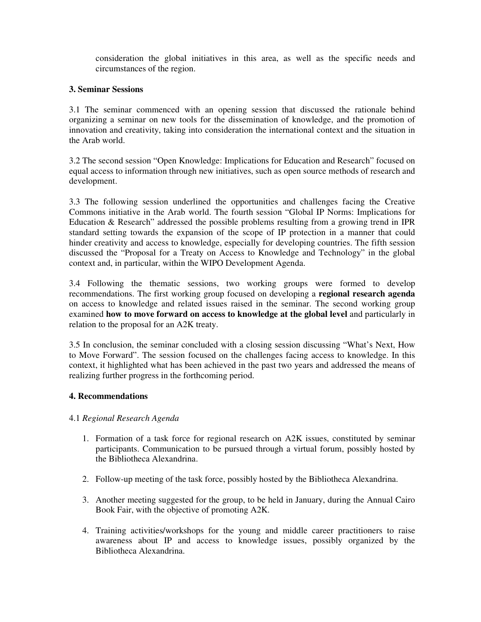consideration the global initiatives in this area, as well as the specific needs and circumstances of the region.

#### **3. Seminar Sessions**

3.1 The seminar commenced with an opening session that discussed the rationale behind organizing a seminar on new tools for the dissemination of knowledge, and the promotion of innovation and creativity, taking into consideration the international context and the situation in the Arab world.

3.2 The second session "Open Knowledge: Implications for Education and Research" focused on equal access to information through new initiatives, such as open source methods of research and development.

3.3 The following session underlined the opportunities and challenges facing the Creative Commons initiative in the Arab world. The fourth session "Global IP Norms: Implications for Education & Research" addressed the possible problems resulting from a growing trend in IPR standard setting towards the expansion of the scope of IP protection in a manner that could hinder creativity and access to knowledge, especially for developing countries. The fifth session discussed the "Proposal for a Treaty on Access to Knowledge and Technology" in the global context and, in particular, within the WIPO Development Agenda.

3.4 Following the thematic sessions, two working groups were formed to develop recommendations. The first working group focused on developing a **regional research agenda** on access to knowledge and related issues raised in the seminar. The second working group examined **how to move forward on access to knowledge at the global level** and particularly in relation to the proposal for an A2K treaty.

3.5 In conclusion, the seminar concluded with a closing session discussing "What's Next, How to Move Forward". The session focused on the challenges facing access to knowledge. In this context, it highlighted what has been achieved in the past two years and addressed the means of realizing further progress in the forthcoming period.

#### **4. Recommendations**

#### 4.1 *Regional Research Agenda*

- 1. Formation of a task force for regional research on A2K issues, constituted by seminar participants. Communication to be pursued through a virtual forum, possibly hosted by the Bibliotheca Alexandrina.
- 2. Follow-up meeting of the task force, possibly hosted by the Bibliotheca Alexandrina.
- 3. Another meeting suggested for the group, to be held in January, during the Annual Cairo Book Fair, with the objective of promoting A2K.
- 4. Training activities/workshops for the young and middle career practitioners to raise awareness about IP and access to knowledge issues, possibly organized by the Bibliotheca Alexandrina.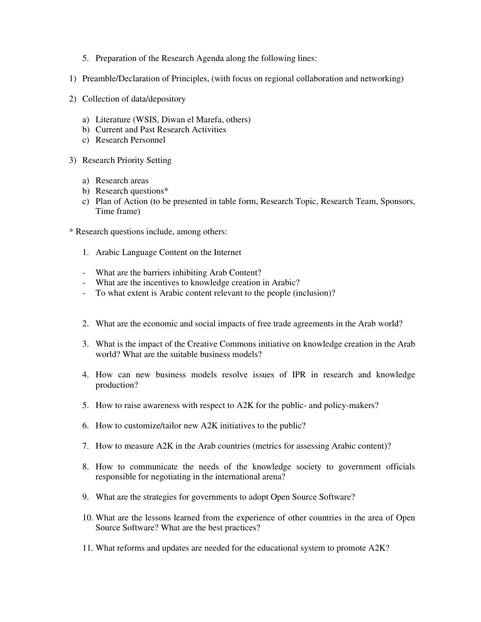- 5. Preparation of the Research Agenda along the following lines:
- 1) Preamble/Declaration of Principles, (with focus on regional collaboration and networking)
- 2) Collection of data/depository
	- a) Literature (WSIS, Diwan el Marefa, others)
	- b) Current and Past Research Activities
	- c) Research Personnel
- 3) Research Priority Setting
	- a) Research areas
	- b) Research questions\*
	- c) Plan of Action (to be presented in table form, Research Topic, Research Team, Sponsors, Time frame)
- \* Research questions include, among others:
	- 1. Arabic Language Content on the Internet
	- What are the barriers inhibiting Arab Content?
	- What are the incentives to knowledge creation in Arabic?
	- To what extent is Arabic content relevant to the people (inclusion)?
	- 2. What are the economic and social impacts of free trade agreements in the Arab world?
	- 3. What is the impact of the Creative Commons initiative on knowledge creation in the Arab world? What are the suitable business models?
	- 4. How can new business models resolve issues of IPR in research and knowledge production?
	- 5. How to raise awareness with respect to A2K for the public- and policy-makers?
	- 6. How to customize/tailor new A2K initiatives to the public?
	- 7. How to measure A2K in the Arab countries (metrics for assessing Arabic content)?
	- 8. How to communicate the needs of the knowledge society to government officials responsible for negotiating in the international arena?
	- 9. What are the strategies for governments to adopt Open Source Software?
	- 10. What are the lessons learned from the experience of other countries in the area of Open Source Software? What are the best practices?
	- 11. What reforms and updates are needed for the educational system to promote A2K?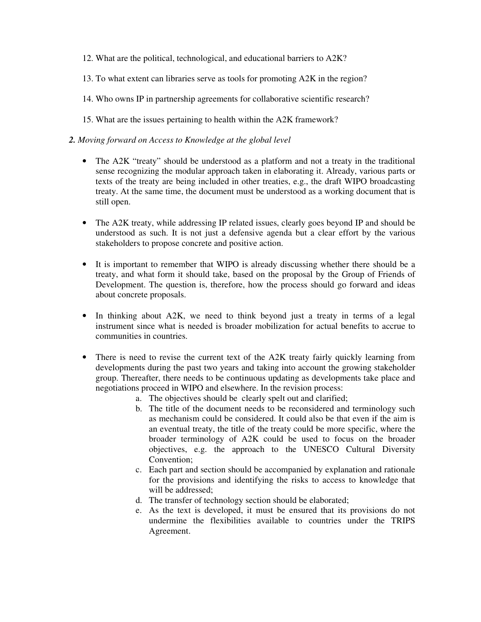- 12. What are the political, technological, and educational barriers to A2K?
- 13. To what extent can libraries serve as tools for promoting A2K in the region?
- 14. Who owns IP in partnership agreements for collaborative scientific research?
- 15. What are the issues pertaining to health within the A2K framework?

#### *2. Moving forward on Access to Knowledge at the global level*

- The A2K "treaty" should be understood as a platform and not a treaty in the traditional sense recognizing the modular approach taken in elaborating it. Already, various parts or texts of the treaty are being included in other treaties, e.g., the draft WIPO broadcasting treaty. At the same time, the document must be understood as a working document that is still open.
- The A2K treaty, while addressing IP related issues, clearly goes beyond IP and should be understood as such. It is not just a defensive agenda but a clear effort by the various stakeholders to propose concrete and positive action.
- It is important to remember that WIPO is already discussing whether there should be a treaty, and what form it should take, based on the proposal by the Group of Friends of Development. The question is, therefore, how the process should go forward and ideas about concrete proposals.
- In thinking about A2K, we need to think beyond just a treaty in terms of a legal instrument since what is needed is broader mobilization for actual benefits to accrue to communities in countries.
- There is need to revise the current text of the A2K treaty fairly quickly learning from developments during the past two years and taking into account the growing stakeholder group. Thereafter, there needs to be continuous updating as developments take place and negotiations proceed in WIPO and elsewhere. In the revision process:
	- a. The objectives should be clearly spelt out and clarified;
	- b. The title of the document needs to be reconsidered and terminology such as mechanism could be considered. It could also be that even if the aim is an eventual treaty, the title of the treaty could be more specific, where the broader terminology of A2K could be used to focus on the broader objectives, e.g. the approach to the UNESCO Cultural Diversity Convention;
	- c. Each part and section should be accompanied by explanation and rationale for the provisions and identifying the risks to access to knowledge that will be addressed;
	- d. The transfer of technology section should be elaborated;
	- e. As the text is developed, it must be ensured that its provisions do not undermine the flexibilities available to countries under the TRIPS Agreement.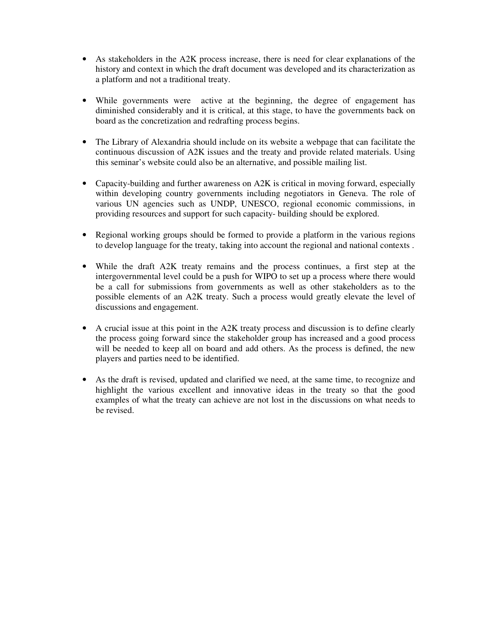- As stakeholders in the A2K process increase, there is need for clear explanations of the history and context in which the draft document was developed and its characterization as a platform and not a traditional treaty.
- While governments were active at the beginning, the degree of engagement has diminished considerably and it is critical, at this stage, to have the governments back on board as the concretization and redrafting process begins.
- The Library of Alexandria should include on its website a webpage that can facilitate the continuous discussion of A2K issues and the treaty and provide related materials. Using this seminar's website could also be an alternative, and possible mailing list.
- Capacity-building and further awareness on A2K is critical in moving forward, especially within developing country governments including negotiators in Geneva. The role of various UN agencies such as UNDP, UNESCO, regional economic commissions, in providing resources and support for such capacity- building should be explored.
- Regional working groups should be formed to provide a platform in the various regions to develop language for the treaty, taking into account the regional and national contexts .
- While the draft A2K treaty remains and the process continues, a first step at the intergovernmental level could be a push for WIPO to set up a process where there would be a call for submissions from governments as well as other stakeholders as to the possible elements of an A2K treaty. Such a process would greatly elevate the level of discussions and engagement.
- A crucial issue at this point in the A2K treaty process and discussion is to define clearly the process going forward since the stakeholder group has increased and a good process will be needed to keep all on board and add others. As the process is defined, the new players and parties need to be identified.
- As the draft is revised, updated and clarified we need, at the same time, to recognize and highlight the various excellent and innovative ideas in the treaty so that the good examples of what the treaty can achieve are not lost in the discussions on what needs to be revised.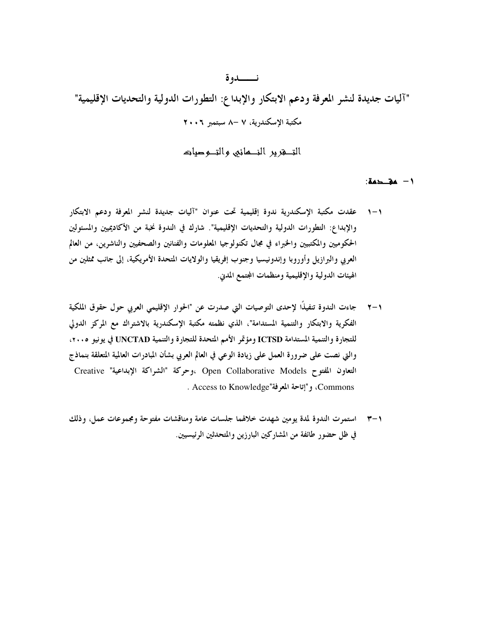"آليات جديدة لنشر المعرفة ودعم الابتكار والإبداع: التطورات الدولية والتحديات الإقليمية" مكتبة الاسكندرية، ٧ –٨ سبتمبر ٢٠٠٦

نــــدوة

التصغرير النصائبي والتصوصيات

١ - مقـحمة:

- ١–١ عقدت مكتبة الإسكندرية ندوة إقليمية تحت عنوان "آليات جديدة لنشر المعرفة ودعم الابتكار والإبداع: التطورات الدولية والتحديات الإقليمية". شارك في الندوة نخبة من الأكاديميين والمسئولين الحكوميين والمكتبيين والخبراء في مجال تكنولوجيا المعلومات والفنانين والصحفيين والناشرين، من العالم العربي والبرازيل وأوروبا وإندونيسيا وجنوب إفريقيا والولايات المتحدة الأمريكية، إلى جانب ممثلين من الهيئات الدولية والإقليمية ومنظمات المجتمع المدني.
- جاءت الندوة تنفيذًا لإحدى التوصيات التي صدرت عن "الحوار الإقليمي العربي حول حقوق الملكية  $\mathbf{y}-\mathbf{y}$ الفكرية والابتكار والتنمية المستدامة"، الذي نظمته مكتبة الإسكندرية بالاشتراك مع المركز الدولي للتجارة والتنمية المستدامة ICTSD ومؤتمر الأمم المتحدة للتجارة والتنمية UNCTAD في يونيو ٢٠٠٥، والتي نصت على ضرورة العمل على زيادة الوعي في العالم العربي بشأن المبادرات العالمية المتعلقة بنماذج التعاون المفتوح Open Collaborative Models ،وحركة "الشراكة الإبداعية" Creative . Access to Knowledge"، و "إتاحة المعرفة" Access to Knowledge .
- ٢-٣ استمرت الندوة لمدة يومين شهدت خلالهما جلسات عامة ومناقشات مفتوحة ومجموعات عمل، وذلك في ظل حضور طائفة من المشاركين البارزين والمتحدثين الرئيسيين.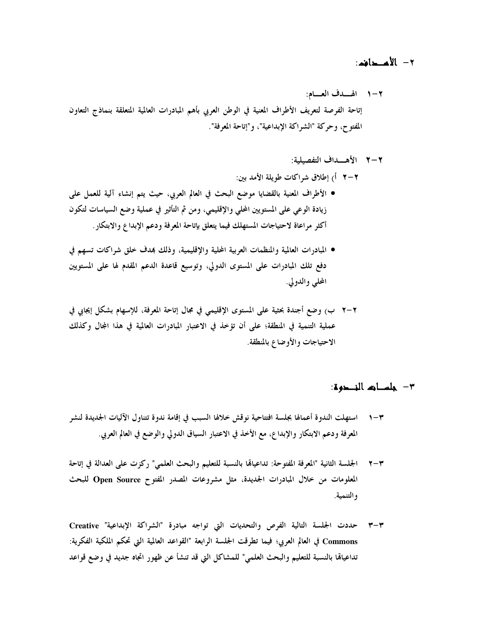## ٢ - الأعدافه:

٢–١ الهــدف العــام: إتاحة الفرصة لتعريف الأطراف المعنية في الوطن العربي بأهم المبادرات العالمية المتعلقة بنماذج التعاون المُفتوح، وحركة "الشراكة الإبداعية"، و"إتاحة المعرفة".

### ٢–٢ الأهــداف التفصيلية:

- ٢–٢ أ) إطلاق شراكات طويلة الأمد بين:
- الأطراف المعنية بالقضايا موضع البحث في العالم العربي، حيث يتم إنشاء آلية للعمل على زيادة الوعي على المستويين المحلي والإقليمي، ومن ثم التأثير في عملية وضع السياسات لتكون أكثر مراعاة لاحتياجات المستهلك فيما يتعلق بإتاحة المعرفة ودعم الإبداع والابتكار .
- المبادرات العالمية والمنظمات العربية المحلية والإقليمية، وذلك بمدف خلق شراكات تسهم في دفع تلك المبادرات على المستوى الدولي، وتوسيع قاعدة الدعم المقدم لها على المستويين المحلي والدولي.
- ٢–٢ ب) وضع أجندة بحثية على المستوى الإقليمي في مجال إتاحة المعرفة، للإسهام بشكل إيجابي في عملية التنمية في المنطقة؛ على أن تؤخذ في الاعتبار المبادرات العالمية في هذا المجال وكذلك الاحتياجات والأوضاع بالمنطقة.

## ٣ - جلســاتم النــحوة:

- ٣-١ استهلت الندوة أعمالها بجلسة افتتاحية نوقش خلالها السبب في إقامة ندوة تتناول الآليات الجديدة لنشر المعرفة ودعم الابتكار والإبداع، مع الأخذ في الاعتبار السياق الدولي والوضع في العالم العربي.
- الجلسة الثانية "المعرفة المفتوحة: تداعياهًا بالنسبة للتعليم والبحث العلمي" ركزت على العدالة في إتاحة  $\mathbf{y}-\mathbf{y}$ المعلومات من خلال المبادرات الجديدة، مثل مشروعات المصدر المفتوح Open Source للبحث و التنمية.
- ٣-٣ حددت الجلسة التالية الفرص والتحديات التي تواجه مبادرة "الشراكة الإبداعية" Creative Commons في العالم العربي؛ فيما تطرقت الجلسة الرابعة "القواعد العالمية التي تحكم الملكية الفكرية: تداعياهًا بالنسبة للتعليم والبحث العلمي" للمشاكل التي قد تنشأ عن ظهور اتجاه جديد في وضع قواعد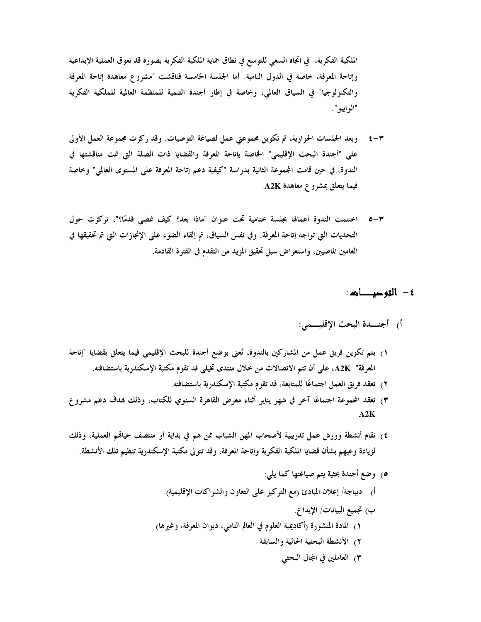الملكية الفكرية، في اتجاه السعى للتوسع في نطاق حماية الملكية الفكرية بصورة قد تعوق العملية الإبداعية وإتاحة المعرفة، خاصة في الدول النامية. أما الجلسة الخامسة فناقشت "مشروع معاهدة إتاحة المعرفة والتكنولوجيا" في السياق العالمي، وخاصة في إطار أجندة التنمية للمنظمة العالمية للملكية الفكرية "الو ايبو ".

- ٣–٤ ٪ وبعد الجلسات الحوارية، تم تكوين مجموعتي عمل لصياغة التوصيات. وقد ركزت مجموعة العمل الأولى على "أجندة البحث الإقليمي" الخاصة بإتاحة المعرفة والقضايا ذات الصلة التي تمت مناقشتها في الندوة، في حين قامت المجموعة الثانية بدراسة "كيفية دعم إتاحة المعرفة على المستوى العالمي" وخاصة فيما يتعلق بمشروع معاهدة A2K.
- ٣–٥٪ اختتمت الندوة أعمالها بجلسة ختامية تحت عنوان "ماذا بعد؟ كيف نمضى قدمًا؟"، تركزت حول التحديات التي تواجه إتاحة المعرفة. وفي نفس السياق، تم إلقاء الضوء على الإنجازات التي تم تحقيقها في العامين الماضيين، واستعراض سبل تحقيق المزيد من التقدم في الفترة القادمة.

## ٤ — التوصيات:

# أ) أجنسدة البحث الإقليسمي:

- ١) يتم تكوين فريق عمل من المشاركين بالندوة، تُعنى بوضع أجندة للبحث الإقليمي فيما يتعلق بقضايا "إتاحة المعرفة" A2K، على أن تتم الاتصالات من خلال منتدى تخيلي قد تقوم مكتبة الإسكندرية باستضافته.
	- ٢) تعقد فريق العمل اجتماعًا للمتابعة، قد تقوم مكتبة الإسكندرية باستضافته.
- ٣) تعقد المجموعة اجتماعًا آخر في شهر يناير أثناء معرض القاهرة السنوي للكتاب، وذلك بمدف دعم مشروع  $AA2K$
- ٤) تقام أنشطة وورش عمل تدريبية لأصحاب المهن الشباب ممن هم في بداية أو منتصف حياقم العملية، وذلك لزيادة وعيهم بشأن قضايا الملكية الفكرية وإتاحة المعرفة، وقد تتولى مكتبة الإسكندرية تنظيم تلك الأنشطة.
	- ٥) وضع أجندة بحثية يتم صياغتها كما يلي:
	- أ) ديباجة/ إعلان المبادئ (مع التركيز على التعاون والشراكات الإقليمية).
		- ب) تجميع البيانات/ الإيدا ع.
	- ١) المادة المنشورة (أكاديمية العلوم في العالم النامي، ديوان المعرفة، وغيرها)
		- ٢) الأنشطة البحثية الحالية والسابقة
			- ٣) العاملين في المجال البحثي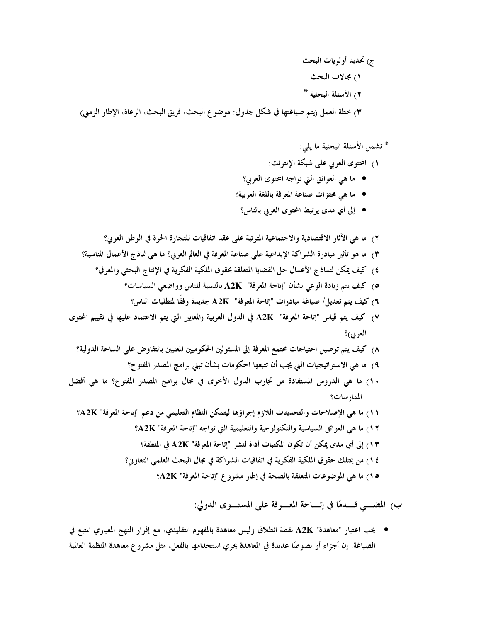ج) تحديد أولويات البحث ۱) مجالات البحث ٢) الأسئلة البحثية \*

٣) خطة العمل (يتم صياغتها في شكل جدول: موضوع البحث، فريق البحث، الرعاة، الإطار الزمني)

# \* تشمل الأسئلة البحثية ما يلي:

- ١) المحتوى العربي على شبكة الإنترنت:
- ما هي العوائق التي تواجه المحتوى العربي؟
- ما هي محفزات صناعة المعرفة باللغة العربية؟
- إلى أي مدى يوتبط المحتوى العربي بالناس؟

٢) ما هي الآثار الاقتصادية والاجتماعية المترتبة على عقد اتفاقيات للتجارة الحرة في الوطن العربي؟ ٣) ما هو تأثير مبادرة الشراكة الإبداعية على صناعة المعرفة في العالم العربي؟ ما هي نماذج الأعمال المناسبة؟ ٤) كيف يمكن لنماذج الأعمال حل القضايا المتعلقة بحقوق الملكية الفكرية في الإنتاج البحثي والمعرفي؟ 0) كيف يتم زيادة الوعي بشأن "إتاحة المعرفة" A2K بالنسبة للناس وواضعي السياسات؟ ٢) كيف يتم تعديل/ صياغة مبادرات "إتاحة المعرفة" A2K جديدة وفقًا لمتطلبات الناس؟ ٧) كيف يتم قياس "إتاحة المعرفة" A2K في الدول العربية (المعايير التي يتم الاعتماد عليها في تقييم المحتوى العربي)؟ ٨) كيف يتم توصيل احتياجات مجتمع المعرفة إلى المسئولين الحكوميين المعنيين بالتفاوض على الساحة الدولية؟ ٩) ما هي الاستراتيجيات التي يجب أن تتبعها الحكومات بشأن تبني برامج المصدر المفتوح؟ ١٠) ما هي الدروس المستفادة من تجارب الدول الأخرى في مجال برامج المصدر المفتوح؟ ما هي أفضل الممار سات؟ 11) ما هي الإصلاحات والتحديثات اللازم إجراؤها ليتمكن النظام التعليمي من دعم "إتاحة المعرفة" A2K؟ 1٢) ما هي العوائق السياسية والتكنولوجية والتعليمية التي تواجه "إتاحة المعرفة" A2K؟ 1٣) إلى أي مدى يمكن أن تكون المكتبات أداة لنشر "إتاحة المعرفة" A2K في المنطقة؟ ١٤) من يمتلك حقوق الملكية الفكرية في اتفاقيات الشراكة في مجال البحث العلمي التعاوين؟

0 م) ما هي الموضوعات المتعلقة بالصحة في إطار مشروع "إتاحة المعرفة" A2K؟

ب، المضـــي قـــدمًا في إتـــاحة المعــــوفة على المستــــوى الدولي:

● يجب اعتبار "معاهدة" A2K نقطة انطلاق وليس معاهدة بالمفهوم التقليدي، مع إقرار النهج المعياري المتبع في الصياغة. إن أجزاء أو نصوصًا عديدة في المعاهدة يجري استخدامها بالفعل، مثل مشرو ع معاهدة المنظمة العالمية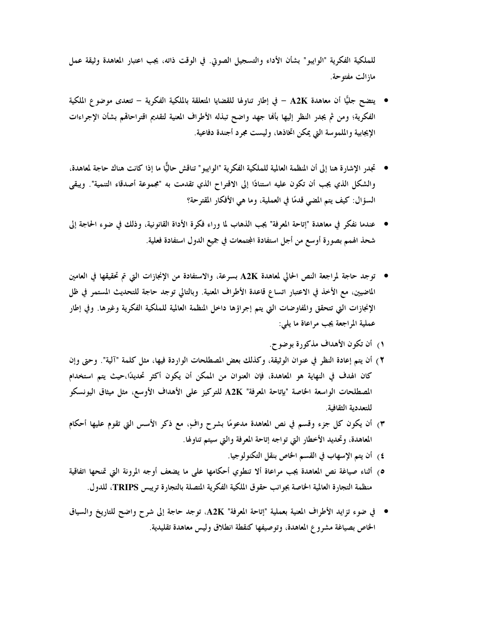للملكية الفكرية "الوايبو" بشأن الأداء والتسجيل الصوتي. في الوقت ذاته، يجب اعتبار المعاهدة وثيقة عمل مازالت مفتوحة.

- يتضح جليًّا أن معاهدة A2K − في إطار تناولها للقضايا المتعلقة بالملكية الفكرية − تتعدى موضو ع الملكية الفكرية؛ ومن ثم يجدر النظر إليها بألها جهد واضح تبذله الأطراف المعنية لتقديم اقتراحاقم بشأن الإجراءات الإيجابية والملموسة التي يمكن اتخاذها، وليست مجرد أجندة دفاعية.
- تجدر الإشارة هنا إلى أن المنظمة العالمية للملكية الفكرية "الوايبو " تناقش حاليًّا ما إذا كانت هناك حاجة لمعاهدة، والشكل الذي يجب أن تكون عليه استنادًا إلى الاقتراح الذي تقدمت به "مجموعة أصدقاء التنمية". ويبقى السؤال: كيف يتم المضي قدمًا في العملية، وما هي الأفكار المقترحة؟
- عندما نفكر في معاهدة "إتاحة المعرفة" يجب الذهاب لما وراء فكرة الأداة القانونية، وذلك في ضوء الحاجة إلى شحذ الهمم بصورة أوسع من أجل استفادة المجتمعات في جميع الدول استفادة فعلية.
- توجد حاجة لمراجعة النص الحالي لمعاهدة A2K بسرعة، والاستفادة من الإنجازات التي تم تحقيقها في العامين الماضيين، مع الأخذ في الاعتبار اتساع قاعدة الأطراف المعنية. وبالتالي توجد حاجة للتحديث المستمر في ظل الإنجازات التي تتحقق والمفاوضات التي يتم إجراؤها داخل المنظمة العالمية للملكية الفكرية وغيرها. وفي إطار عملية المراجعة يجب مراعاة ما يلي:
	- ١) أن تكون الأهداف مذكورة بوضوح.
- ٢) أن يتم إعادة النظر في عنوان الوثيقة، وكذلك بعض المصطلحات الواردة فيها، مثل كلمة "آلية". وحتى وإن كان الهدف في النهاية هو المعاهدة، فإن العنوان من الممكن أن يكون أكثر تحديدًا،حيث يتم استخدام المصطلحات الواسعة الخاصة "بإتاحة المعرفة" A2K للتركيز على الأهداف الأوسع، مثل ميثاق اليونسكو للتعددية الثقافية.
- ٣) أن يكون كل جزء وقسم في نص المعاهدة مدعومًا بشرح وافٍ، مع ذكر الأسس التي تقوم عليها أحكام المعاهدة، وتحديد الأخطار التي تواجه إتاحة المعرفة والتي سيتم تناولها.
	- ٤) أن يتم الإسهاب في القسم الخاص بنقل التكنولوجيا.
- ٥) أثناء صياغة نص المعاهدة يجب مراعاة ألا تنطوي أحكامها على ما يضعف أوجه المرونة التي تمنحها اتفاقية منظمة التجارة العالمية الخاصة بجوانب حقوق الملكية الفكرية المتصلة بالتجارة تريبس TRIPS، للدول.
- في ضوء تزايد الأطراف المعنية بعملية "إتاحة المعرفة" A2K، توجد حاجة إلى شرح واضح للتاريخ والسياق الخاص بصياغة مشروع المعاهدة، وتوصيفها كنقطة انطلاق وليس معاهدة تقليدية.